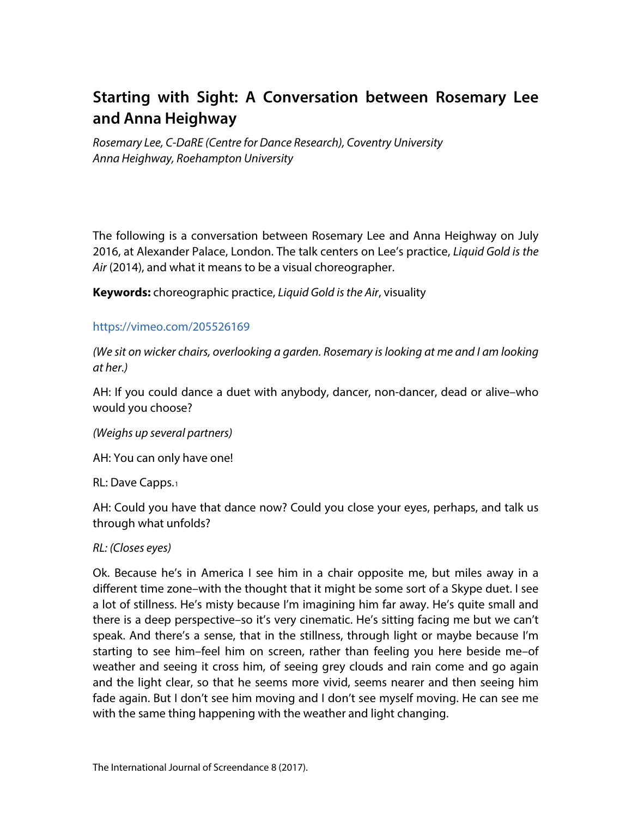# **Starting with Sight: A Conversation between Rosemary Lee and Anna Heighway**

*Rosemary Lee, C-DaRE (Centre for Dance Research), Coventry University Anna Heighway, Roehampton University*

The following is a conversation between Rosemary Lee and Anna Heighway on July 2016, at Alexander Palace, London. The talk centers on Lee's practice, *Liquid Gold is the Air* (2014), and what it means to be a visual choreographer.

**Keywords:** choreographic practice, *Liquid Gold is the Air*, visuality

#### <https://vimeo.com/205526169>

*(We sit on wicker chairs, overlooking a garden. Rosemary is looking at me and I am looking at her.)*

AH: If you could dance a duet with anybody, dancer, non-dancer, dead or alive–who would you choose?

*(Weighs up several partners)*

AH: You can only have one!

RL: Dave Capps.[1](#page-1-0)

AH: Could you have that dance now? Could you close your eyes, perhaps, and talk us through what unfolds?

#### *RL: (Closes eyes)*

Ok. Because he's in America I see him in a chair opposite me, but miles away in a different time zone–with the thought that it might be some sort of a Skype duet. I see a lot of stillness. He's misty because I'm imagining him far away. He's quite small and there is a deep perspective–so it's very cinematic. He's sitting facing me but we can't speak. And there's a sense, that in the stillness, through light or maybe because I'm starting to see him–feel him on screen, rather than feeling you here beside me–of weather and seeing it cross him, of seeing grey clouds and rain come and go again and the light clear, so that he seems more vivid, seems nearer and then seeing him fade again. But I don't see him moving and I don't see myself moving. He can see me with the same thing happening with the weather and light changing.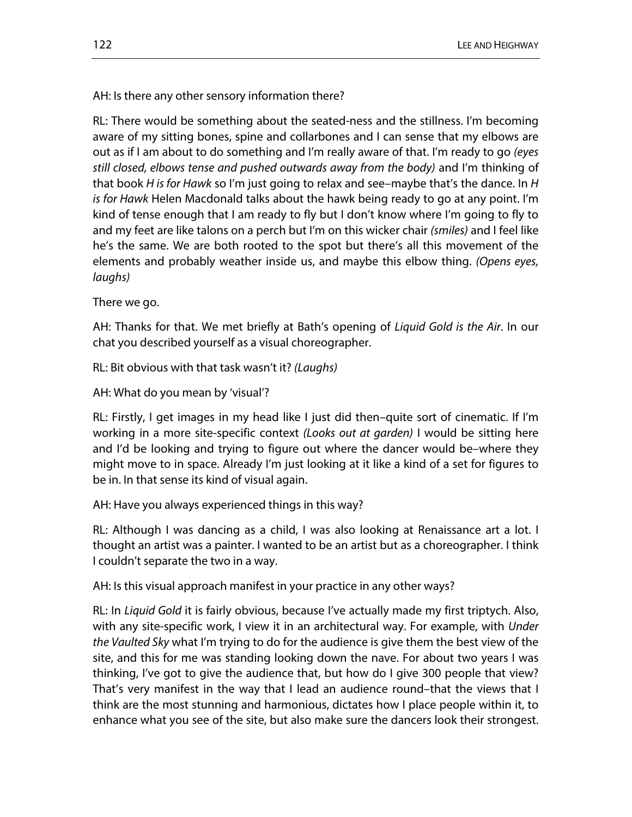AH: Is there any other sensory information there?

RL: There would be something about the seated-ness and the stillness. I'm becoming aware of my sitting bones, spine and collarbones and I can sense that my elbows are out as if I am about to do something and I'm really aware of that. I'm ready to go *(eyes still closed, elbows tense and pushed outwards away from the body)* and I'm thinking of that book *H is for Hawk* so I'm just going to relax and see–maybe that's the dance. In *H is for Hawk* Helen Macdonald talks about the hawk being ready to go at any point. I'm kind of tense enough that I am ready to fly but I don't know where I'm going to fly to and my feet are like talons on a perch but I'm on this wicker chair *(smiles)* and I feel like he's the same. We are both rooted to the spot but there's all this movement of the elements and probably weather inside us, and maybe this elbow thing. *(Opens eyes, laughs)*

There we go.

AH: Thanks for that. We met briefly at Bath's opening of *Liquid Gold is the Air*. In our chat you described yourself as a visual choreographer.

RL: Bit obvious with that task wasn't it? *(Laughs)*

AH: What do you mean by 'visual'?

RL: Firstly, I get images in my head like I just did then–quite sort of cinematic. If I'm working in a more site-specific context *(Looks out at garden)* I would be sitting here and I'd be looking and trying to figure out where the dancer would be–where they might move to in space. Already I'm just looking at it like a kind of a set for figures to be in. In that sense its kind of visual again.

<span id="page-1-1"></span><span id="page-1-0"></span>AH: Have you always experienced things in this way?

<span id="page-1-4"></span><span id="page-1-3"></span><span id="page-1-2"></span>RL: Although I was dancing as a child, I was also looking at Renaissance art a lot. I thought an artist was a painter. I wanted to be an artist but as a choreographer. I think I couldn't separate the two in a way.

<span id="page-1-5"></span>AH: Is this visual approach manifest in your practice in any other ways?

<span id="page-1-8"></span><span id="page-1-7"></span><span id="page-1-6"></span>RL: In *Liquid Gold* it is fairly obvious, because I've actually made my first triptych. Also, with any site-specific work, I view it in an architectural way. For example, with *Under the Vaulted Sky* what I'm trying to do for the audience is give them the best view of the site, and this for me was standing looking down the nave. For about two years I was thinking, I've got to give the audience that, but how do I give 300 people that view? That's very manifest in the way that I lead an audience round–that the views that I think are the most stunning and harmonious, dictates how I place people within it, to enhance what you see of the site, but also make sure the dancers look their strongest.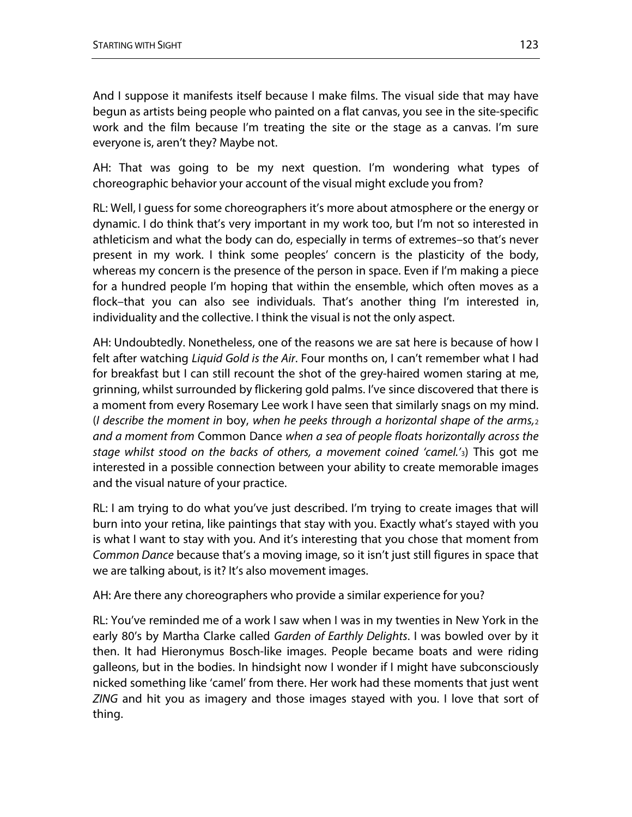And I suppose it manifests itself because I make films. The visual side that may have begun as artists being people who painted on a flat canvas, you see in the site-specific work and the film because I'm treating the site or the stage as a canvas. I'm sure everyone is, aren't they? Maybe not.

AH: That was going to be my next question. I'm wondering what types of choreographic behavior your account of the visual might exclude you from?

RL: Well, I guess for some choreographers it's more about atmosphere or the energy or dynamic. I do think that's very important in my work too, but I'm not so interested in athleticism and what the body can do, especially in terms of extremes–so that's never present in my work. I think some peoples' concern is the plasticity of the body, whereas my concern is the presence of the person in space. Even if I'm making a piece for a hundred people I'm hoping that within the ensemble, which often moves as a flock–that you can also see individuals. That's another thing I'm interested in, individuality and the collective. I think the visual is not the only aspect.

AH: Undoubtedly. Nonetheless, one of the reasons we are sat here is because of how I felt after watching *Liquid Gold is the Air*. Four months on, I can't remember what I had for breakfast but I can still recount the shot of the grey-haired women staring at me, grinning, whilst surrounded by flickering gold palms. I've since discovered that there is a moment from every Rosemary Lee work I have seen that similarly snags on my mind. (*I describe the moment in* boy, *when he peeks through a horizontal shape of the arms,*[2](#page-1-1) *and a moment from* Common Dance *when a sea of people floats horizontally across the stage whilst stood on the backs of others, a movement coined 'camel.'*[3\)](#page-1-2) This got me interested in a possible connection between your ability to create memorable images and the visual nature of your practice.

RL: I am trying to do what you've just described. I'm trying to create images that will burn into your retina, like paintings that stay with you. Exactly what's stayed with you is what I want to stay with you. And it's interesting that you chose that moment from *Common Dance* because that's a moving image, so it isn't just still figures in space that we are talking about, is it? It's also movement images.

AH: Are there any choreographers who provide a similar experience for you?

RL: You've reminded me of a work I saw when I was in my twenties in New York in the early 80's by Martha Clarke called *Garden of Earthly Delights*. I was bowled over by it then. It had Hieronymus Bosch-like images. People became boats and were riding galleons, but in the bodies. In hindsight now I wonder if I might have subconsciously nicked something like 'camel' from there. Her work had these moments that just went *ZING* and hit you as imagery and those images stayed with you. I love that sort of thing.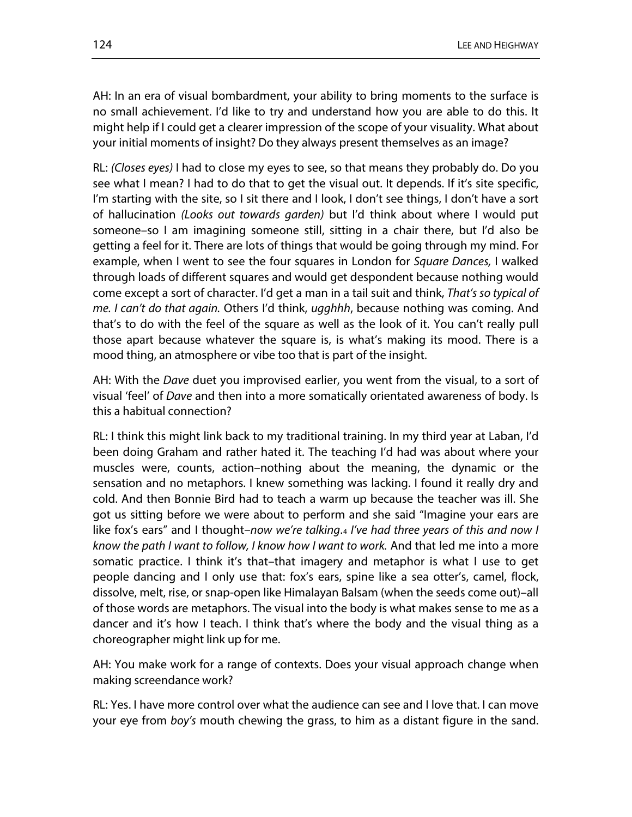AH: In an era of visual bombardment, your ability to bring moments to the surface is no small achievement. I'd like to try and understand how you are able to do this. It might help if I could get a clearer impression of the scope of your visuality. What about your initial moments of insight? Do they always present themselves as an image?

RL: *(Closes eyes)* I had to close my eyes to see, so that means they probably do. Do you see what I mean? I had to do that to get the visual out. It depends. If it's site specific, I'm starting with the site, so I sit there and I look, I don't see things, I don't have a sort of hallucination *(Looks out towards garden)* but I'd think about where I would put someone–so I am imagining someone still, sitting in a chair there, but I'd also be getting a feel for it. There are lots of things that would be going through my mind. For example, when I went to see the four squares in London for *Square Dances,* I walked through loads of different squares and would get despondent because nothing would come except a sort of character. I'd get a man in a tail suit and think, *That's so typical of me. I can't do that again.* Others I'd think, *ugghhh*, because nothing was coming. And that's to do with the feel of the square as well as the look of it. You can't really pull those apart because whatever the square is, is what's making its mood. There is a mood thing, an atmosphere or vibe too that is part of the insight.

AH: With the *Dave* duet you improvised earlier, you went from the visual, to a sort of visual 'feel' of *Dave* and then into a more somatically orientated awareness of body. Is this a habitual connection?

RL: I think this might link back to my traditional training. In my third year at Laban, I'd been doing Graham and rather hated it. The teaching I'd had was about where your muscles were, counts, action–nothing about the meaning, the dynamic or the sensation and no metaphors. I knew something was lacking. I found it really dry and cold. And then Bonnie Bird had to teach a warm up because the teacher was ill. She got us sitting before we were about to perform and she said "Imagine your ears are like fox's ears" and I thought–*now we're talking*.[4](#page-1-3) *I've had three years of this and now I know the path I want to follow, I know how I want to work.* And that led me into a more somatic practice. I think it's that–that imagery and metaphor is what I use to get people dancing and I only use that: fox's ears, spine like a sea otter's, camel, flock, dissolve, melt, rise, or snap-open like Himalayan Balsam (when the seeds come out)–all of those words are metaphors. The visual into the body is what makes sense to me as a dancer and it's how I teach. I think that's where the body and the visual thing as a choreographer might link up for me.

AH: You make work for a range of contexts. Does your visual approach change when making screendance work?

RL: Yes. I have more control over what the audience can see and I love that. I can move your eye from *boy's* mouth chewing the grass, to him as a distant figure in the sand.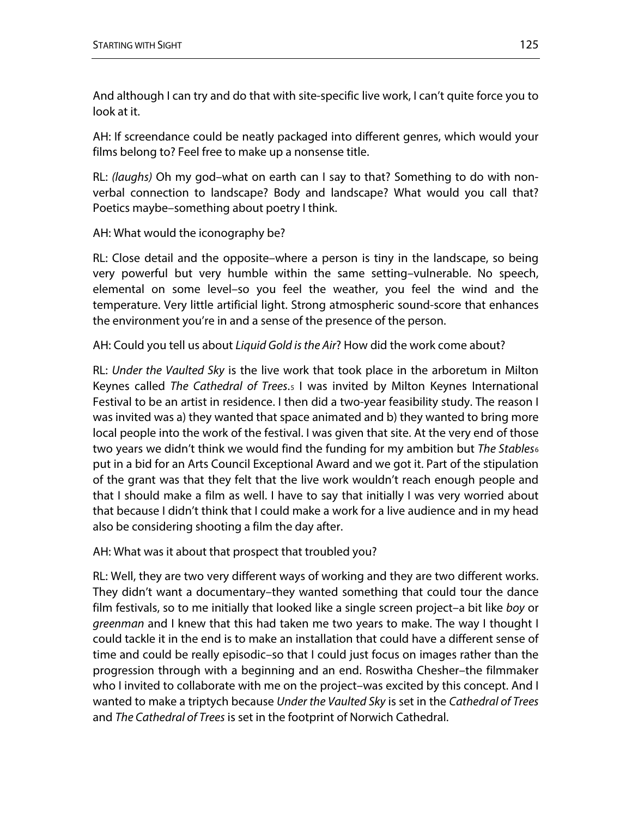And although I can try and do that with site-specific live work, I can't quite force you to look at it.

AH: If screendance could be neatly packaged into different genres, which would your films belong to? Feel free to make up a nonsense title.

RL: *(laughs)* Oh my god–what on earth can I say to that? Something to do with nonverbal connection to landscape? Body and landscape? What would you call that? Poetics maybe–something about poetry I think.

## AH: What would the iconography be?

RL: Close detail and the opposite–where a person is tiny in the landscape, so being very powerful but very humble within the same setting–vulnerable. No speech, elemental on some level–so you feel the weather, you feel the wind and the temperature. Very little artificial light. Strong atmospheric sound-score that enhances the environment you're in and a sense of the presence of the person.

AH: Could you tell us about *Liquid Gold is the Air*? How did the work come about?

RL: *Under the Vaulted Sky* is the live work that took place in the arboretum in Milton Keynes called *The Cathedral of Trees*.[5](#page-1-4) I was invited by Milton Keynes International Festival to be an artist in residence. I then did a two-year feasibility study. The reason I was invited was a) they wanted that space animated and b) they wanted to bring more local people into the work of the festival. I was given that site. At the very end of those two years we didn't think we would find the funding for my ambition but *The Stables*[6](#page-1-5) put in a bid for an Arts Council Exceptional Award and we got it. Part of the stipulation of the grant was that they felt that the live work wouldn't reach enough people and that I should make a film as well. I have to say that initially I was very worried about that because I didn't think that I could make a work for a live audience and in my head also be considering shooting a film the day after.

AH: What was it about that prospect that troubled you?

RL: Well, they are two very different ways of working and they are two different works. They didn't want a documentary–they wanted something that could tour the dance film festivals, so to me initially that looked like a single screen project–a bit like *boy* or *greenman* and I knew that this had taken me two years to make. The way I thought I could tackle it in the end is to make an installation that could have a different sense of time and could be really episodic–so that I could just focus on images rather than the progression through with a beginning and an end. Roswitha Chesher–the filmmaker who I invited to collaborate with me on the project–was excited by this concept. And I wanted to make a triptych because *Under the Vaulted Sky* is set in the *Cathedral of Trees* and *The Cathedral of Trees* is set in the footprint of Norwich Cathedral.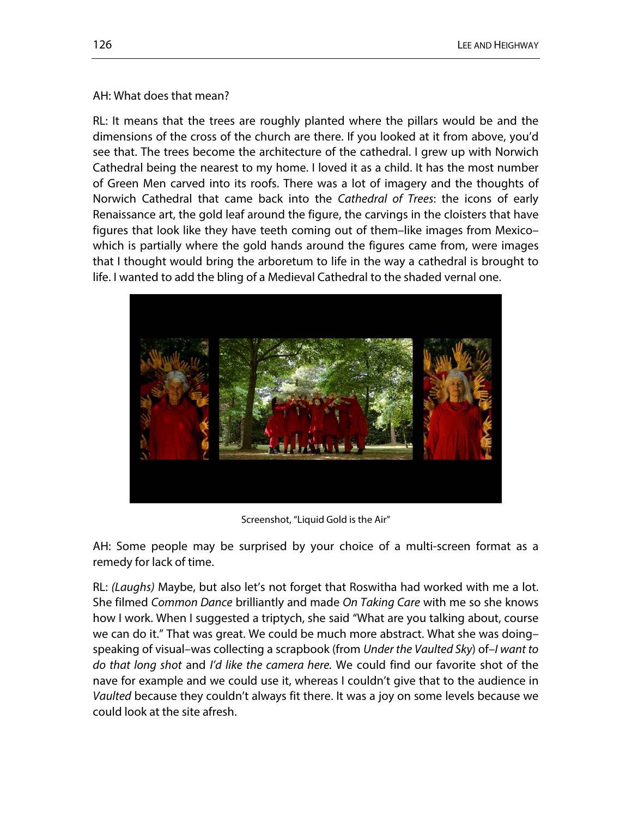#### AH: What does that mean?

RL: It means that the trees are roughly planted where the pillars would be and the dimensions of the cross of the church are there. If you looked at it from above, you'd see that. The trees become the architecture of the cathedral. I grew up with Norwich Cathedral being the nearest to my home. I loved it as a child. It has the most number of Green Men carved into its roofs. There was a lot of imagery and the thoughts of Norwich Cathedral that came back into the *Cathedral of Trees*: the icons of early Renaissance art, the gold leaf around the figure, the carvings in the cloisters that have figures that look like they have teeth coming out of them–like images from Mexico– which is partially where the gold hands around the figures came from, were images that I thought would bring the arboretum to life in the way a cathedral is brought to life. I wanted to add the bling of a Medieval Cathedral to the shaded vernal one.



Screenshot, "Liquid Gold is the Air"

AH: Some people may be surprised by your choice of a multi-screen format as a remedy for lack of time.

RL: *(Laughs)* Maybe, but also let's not forget that Roswitha had worked with me a lot. She filmed *Common Dance* brilliantly and made *On Taking Care* with me so she knows how I work. When I suggested a triptych, she said "What are you talking about, course we can do it." That was great. We could be much more abstract. What she was doing– speaking of visual–was collecting a scrapbook (from *Under the Vaulted Sky*) of–*I want to do that long shot* and *I'd like the camera here.* We could find our favorite shot of the nave for example and we could use it, whereas I couldn't give that to the audience in *Vaulted* because they couldn't always fit there. It was a joy on some levels because we could look at the site afresh.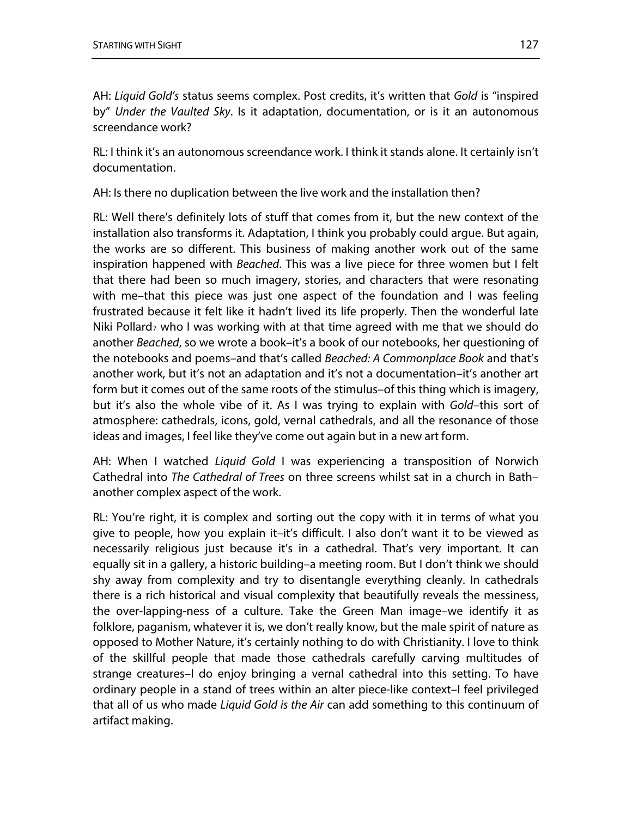AH: *Liquid Gold's* status seems complex. Post credits, it's written that *Gold* is "inspired by" *Under the Vaulted Sky*. Is it adaptation, documentation, or is it an autonomous screendance work?

RL: I think it's an autonomous screendance work. I think it stands alone. It certainly isn't documentation.

AH: Is there no duplication between the live work and the installation then?

RL: Well there's definitely lots of stuff that comes from it, but the new context of the installation also transforms it. Adaptation, I think you probably could argue. But again, the works are so different. This business of making another work out of the same inspiration happened with *Beached*. This was a live piece for three women but I felt that there had been so much imagery, stories, and characters that were resonating with me–that this piece was just one aspect of the foundation and I was feeling frustrated because it felt like it hadn't lived its life properly. Then the wonderful late Niki Pollard<sub>[7](#page-1-6)</sub> who I was working with at that time agreed with me that we should do another *Beached*, so we wrote a book–it's a book of our notebooks, her questioning of the notebooks and poems–and that's called *Beached: A Commonplace Book* and that's another work, but it's not an adaptation and it's not a documentation–it's another art form but it comes out of the same roots of the stimulus–of this thing which is imagery, but it's also the whole vibe of it. As I was trying to explain with *Gold*–this sort of atmosphere: cathedrals, icons, gold, vernal cathedrals, and all the resonance of those ideas and images, I feel like they've come out again but in a new art form.

AH: When I watched *Liquid Gold* I was experiencing a transposition of Norwich Cathedral into *The Cathedral of Trees* on three screens whilst sat in a church in Bath– another complex aspect of the work.

RL: You're right, it is complex and sorting out the copy with it in terms of what you give to people, how you explain it–it's difficult. I also don't want it to be viewed as necessarily religious just because it's in a cathedral. That's very important. It can equally sit in a gallery, a historic building–a meeting room. But I don't think we should shy away from complexity and try to disentangle everything cleanly. In cathedrals there is a rich historical and visual complexity that beautifully reveals the messiness, the over-lapping-ness of a culture. Take the Green Man image–we identify it as folklore, paganism, whatever it is, we don't really know, but the male spirit of nature as opposed to Mother Nature, it's certainly nothing to do with Christianity. I love to think of the skillful people that made those cathedrals carefully carving multitudes of strange creatures–I do enjoy bringing a vernal cathedral into this setting. To have ordinary people in a stand of trees within an alter piece-like context–I feel privileged that all of us who made *Liquid Gold is the Air* can add something to this continuum of artifact making.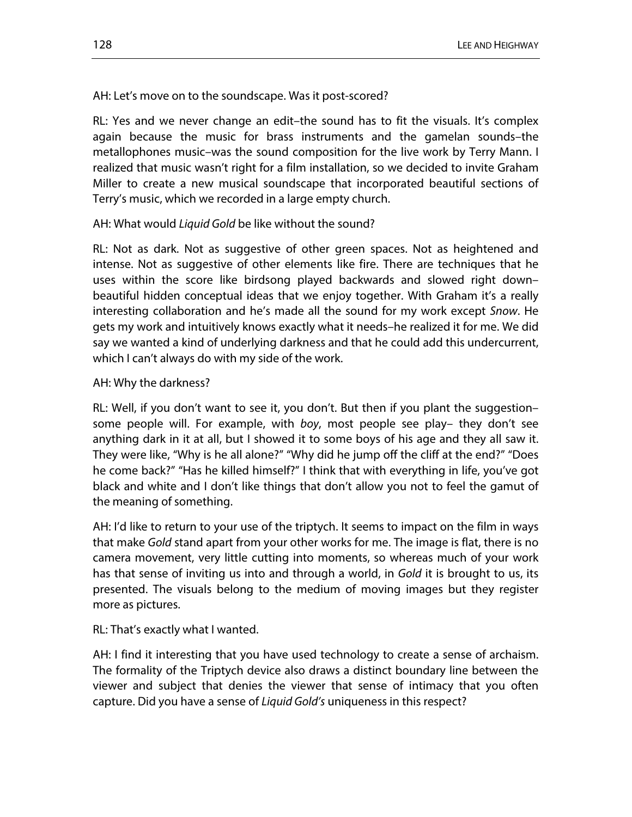#### AH: Let's move on to the soundscape. Was it post-scored?

RL: Yes and we never change an edit–the sound has to fit the visuals. It's complex again because the music for brass instruments and the gamelan sounds–the metallophones music–was the sound composition for the live work by Terry Mann. I realized that music wasn't right for a film installation, so we decided to invite Graham Miller to create a new musical soundscape that incorporated beautiful sections of Terry's music, which we recorded in a large empty church.

#### AH: What would *Liquid Gold* be like without the sound?

RL: Not as dark. Not as suggestive of other green spaces. Not as heightened and intense. Not as suggestive of other elements like fire. There are techniques that he uses within the score like birdsong played backwards and slowed right down– beautiful hidden conceptual ideas that we enjoy together. With Graham it's a really interesting collaboration and he's made all the sound for my work except *Snow*. He gets my work and intuitively knows exactly what it needs–he realized it for me. We did say we wanted a kind of underlying darkness and that he could add this undercurrent, which I can't always do with my side of the work.

#### AH: Why the darkness?

RL: Well, if you don't want to see it, you don't. But then if you plant the suggestion– some people will. For example, with *boy*, most people see play– they don't see anything dark in it at all, but I showed it to some boys of his age and they all saw it. They were like, "Why is he all alone?" "Why did he jump off the cliff at the end?" "Does he come back?" "Has he killed himself?" I think that with everything in life, you've got black and white and I don't like things that don't allow you not to feel the gamut of the meaning of something.

AH: I'd like to return to your use of the triptych. It seems to impact on the film in ways that make *Gold* stand apart from your other works for me. The image is flat, there is no camera movement, very little cutting into moments, so whereas much of your work has that sense of inviting us into and through a world, in *Gold* it is brought to us, its presented. The visuals belong to the medium of moving images but they register more as pictures.

RL: That's exactly what I wanted.

AH: I find it interesting that you have used technology to create a sense of archaism. The formality of the Triptych device also draws a distinct boundary line between the viewer and subject that denies the viewer that sense of intimacy that you often capture. Did you have a sense of *Liquid Gold's* uniqueness in this respect?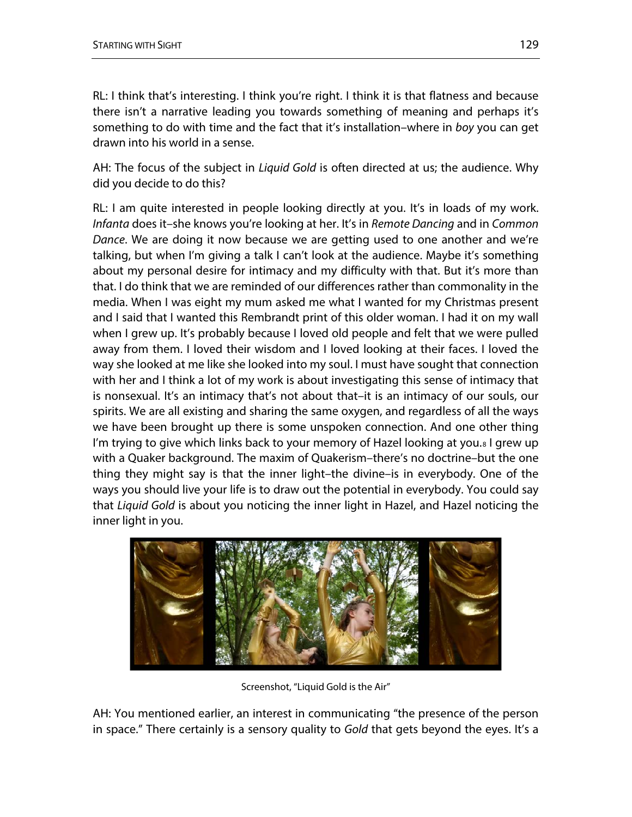RL: I think that's interesting. I think you're right. I think it is that flatness and because there isn't a narrative leading you towards something of meaning and perhaps it's something to do with time and the fact that it's installation–where in *boy* you can get drawn into his world in a sense.

AH: The focus of the subject in *Liquid Gold* is often directed at us; the audience. Why did you decide to do this?

RL: I am quite interested in people looking directly at you. It's in loads of my work. *Infanta* does it–she knows you're looking at her. It's in *Remote Dancing* and in *Common Dance*. We are doing it now because we are getting used to one another and we're talking, but when I'm giving a talk I can't look at the audience. Maybe it's something about my personal desire for intimacy and my difficulty with that. But it's more than that. I do think that we are reminded of our differences rather than commonality in the media. When I was eight my mum asked me what I wanted for my Christmas present and I said that I wanted this Rembrandt print of this older woman. I had it on my wall when I grew up. It's probably because I loved old people and felt that we were pulled away from them. I loved their wisdom and I loved looking at their faces. I loved the way she looked at me like she looked into my soul. I must have sought that connection with her and I think a lot of my work is about investigating this sense of intimacy that is nonsexual. It's an intimacy that's not about that–it is an intimacy of our souls, our spirits. We are all existing and sharing the same oxygen, and regardless of all the ways we have been brought up there is some unspoken connection. And one other thing I'm trying to give which links back to your memory of Hazel looking at you.<sup>[8](#page-1-7)</sup> I grew up with a Quaker background. The maxim of Quakerism–there's no doctrine–but the one thing they might say is that the inner light–the divine–is in everybody. One of the ways you should live your life is to draw out the potential in everybody. You could say that *Liquid Gold* is about you noticing the inner light in Hazel, and Hazel noticing the inner light in you.



Screenshot, "Liquid Gold is the Air"

AH: You mentioned earlier, an interest in communicating "the presence of the person in space." There certainly is a sensory quality to *Gold* that gets beyond the eyes. It's a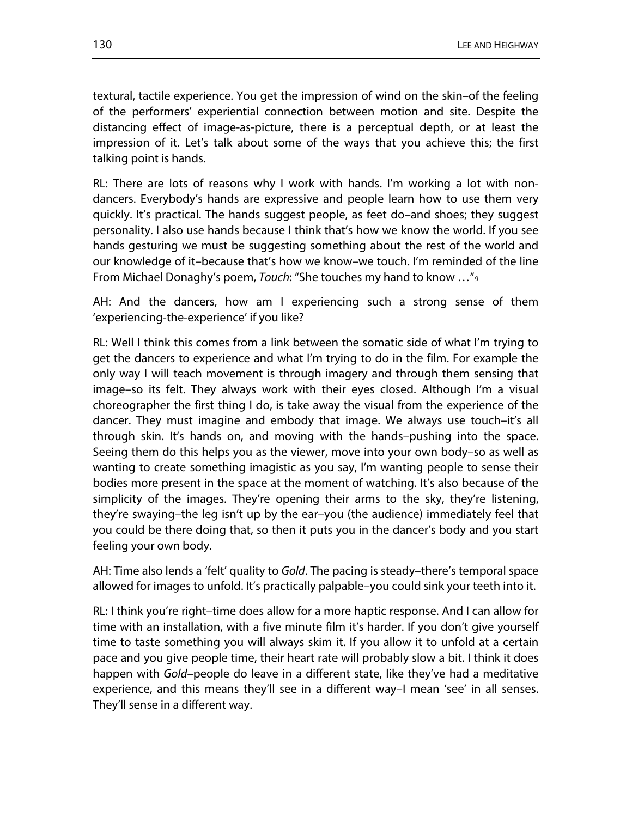textural, tactile experience. You get the impression of wind on the skin–of the feeling of the performers' experiential connection between motion and site. Despite the distancing effect of image-as-picture, there is a perceptual depth, or at least the impression of it. Let's talk about some of the ways that you achieve this; the first talking point is hands.

RL: There are lots of reasons why I work with hands. I'm working a lot with nondancers. Everybody's hands are expressive and people learn how to use them very quickly. It's practical. The hands suggest people, as feet do–and shoes; they suggest personality. I also use hands because I think that's how we know the world. If you see hands gesturing we must be suggesting something about the rest of the world and our knowledge of it–because that's how we know–we touch. I'm reminded of the line From Michael Donaghy's poem, *Touch*: "She touches my hand to know …"[9](#page-1-8)

AH: And the dancers, how am I experiencing such a strong sense of them 'experiencing-the-experience' if you like?

RL: Well I think this comes from a link between the somatic side of what I'm trying to get the dancers to experience and what I'm trying to do in the film. For example the only way I will teach movement is through imagery and through them sensing that image–so its felt. They always work with their eyes closed. Although I'm a visual choreographer the first thing I do, is take away the visual from the experience of the dancer. They must imagine and embody that image. We always use touch–it's all through skin. It's hands on, and moving with the hands–pushing into the space. Seeing them do this helps you as the viewer, move into your own body–so as well as wanting to create something imagistic as you say, I'm wanting people to sense their bodies more present in the space at the moment of watching. It's also because of the simplicity of the images. They're opening their arms to the sky, they're listening, they're swaying–the leg isn't up by the ear–you (the audience) immediately feel that you could be there doing that, so then it puts you in the dancer's body and you start feeling your own body.

AH: Time also lends a 'felt' quality to *Gold*. The pacing is steady–there's temporal space allowed for images to unfold. It's practically palpable–you could sink your teeth into it.

RL: I think you're right–time does allow for a more haptic response. And I can allow for time with an installation, with a five minute film it's harder. If you don't give yourself time to taste something you will always skim it. If you allow it to unfold at a certain pace and you give people time, their heart rate will probably slow a bit. I think it does happen with *Gold*–people do leave in a different state, like they've had a meditative experience, and this means they'll see in a different way–I mean 'see' in all senses. They'll sense in a different way.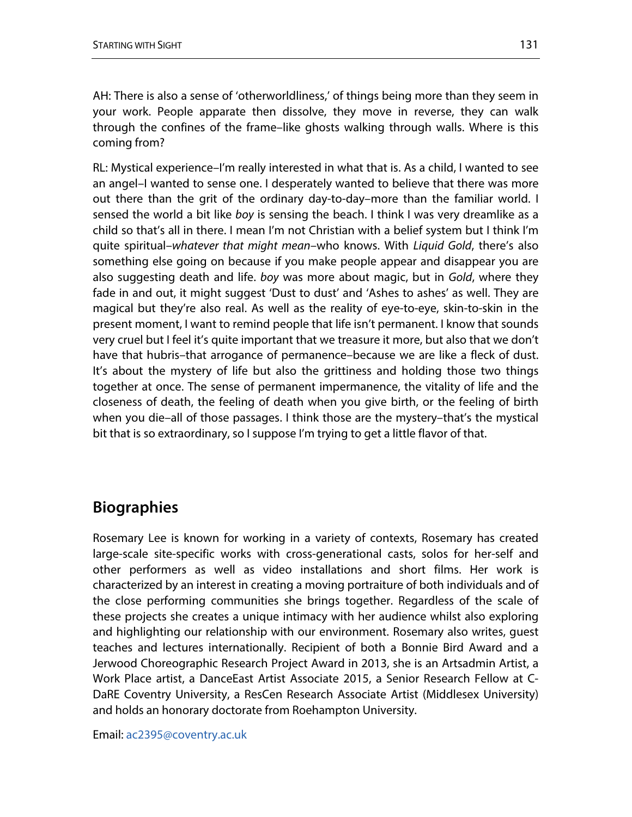AH: There is also a sense of 'otherworldliness,' of things being more than they seem in your work. People apparate then dissolve, they move in reverse, they can walk through the confines of the frame–like ghosts walking through walls. Where is this coming from?

RL: Mystical experience–I'm really interested in what that is. As a child, I wanted to see an angel–I wanted to sense one. I desperately wanted to believe that there was more out there than the grit of the ordinary day-to-day–more than the familiar world. I sensed the world a bit like *boy* is sensing the beach. I think I was very dreamlike as a child so that's all in there. I mean I'm not Christian with a belief system but I think I'm quite spiritual–*whatever that might mean*–who knows. With *Liquid Gold*, there's also something else going on because if you make people appear and disappear you are also suggesting death and life. *boy* was more about magic, but in *Gold*, where they fade in and out, it might suggest 'Dust to dust' and 'Ashes to ashes' as well. They are magical but they're also real. As well as the reality of eye-to-eye, skin-to-skin in the present moment, I want to remind people that life isn't permanent. I know that sounds very cruel but I feel it's quite important that we treasure it more, but also that we don't have that hubris–that arrogance of permanence–because we are like a fleck of dust. It's about the mystery of life but also the grittiness and holding those two things together at once. The sense of permanent impermanence, the vitality of life and the closeness of death, the feeling of death when you give birth, or the feeling of birth when you die–all of those passages. I think those are the mystery–that's the mystical bit that is so extraordinary, so I suppose I'm trying to get a little flavor of that.

## **Biographies**

Rosemary Lee is known for working in a variety of contexts, Rosemary has created large-scale site-specific works with cross-generational casts, solos for her-self and other performers as well as video installations and short films. Her work is characterized by an interest in creating a moving portraiture of both individuals and of the close performing communities she brings together. Regardless of the scale of these projects she creates a unique intimacy with her audience whilst also exploring and highlighting our relationship with our environment. Rosemary also writes, guest teaches and lectures internationally. Recipient of both a Bonnie Bird Award and a Jerwood Choreographic Research Project Award in 2013, she is an Artsadmin Artist, a Work Place artist, a DanceEast Artist Associate 2015, a Senior Research Fellow at C-DaRE Coventry University, a ResCen Research Associate Artist (Middlesex University) and holds an honorary doctorate from Roehampton University.

Email: [ac2395@coventry.ac.uk](mailto:ac2395@coventry.ac.uk)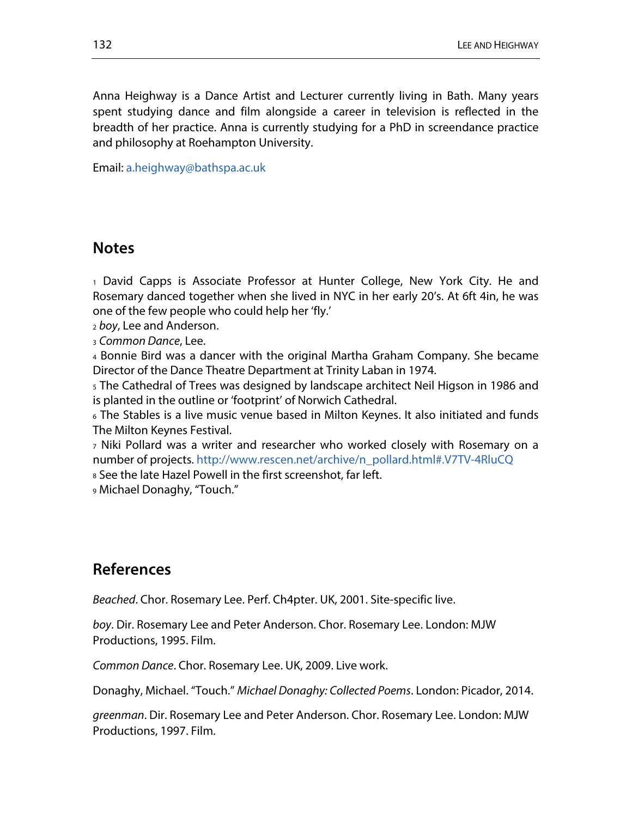Anna Heighway is a Dance Artist and Lecturer currently living in Bath. Many years spent studying dance and film alongside a career in television is reflected in the breadth of her practice. Anna is currently studying for a PhD in screendance practice and philosophy at Roehampton University.

Email: [a.heighway@bathspa.ac.uk](mailto:a.heighway@bathspa.ac.uk)

## **Notes**

<sup>1</sup> David Capps is Associate Professor at Hunter College, New York City. He and Rosemary danced together when she lived in NYC in her early 20's. At 6ft 4in, he was one of the few people who could help her 'fly.'

<sup>2</sup> *boy*, Lee and Anderson.

<sup>3</sup> *Common Dance*, Lee.

<sup>4</sup> Bonnie Bird was a dancer with the original Martha Graham Company. She became Director of the Dance Theatre Department at Trinity Laban in 1974.

<sup>5</sup> The Cathedral of Trees was designed by landscape architect Neil Higson in 1986 and is planted in the outline or 'footprint' of Norwich Cathedral.

<sup>6</sup> The Stables is a live music venue based in Milton Keynes. It also initiated and funds The Milton Keynes Festival.

<sup>7</sup> Niki Pollard was a writer and researcher who worked closely with Rosemary on a number of projects[. http://www.rescen.net/archive/n\\_pollard.html#.V7TV-4RluCQ](http://www.rescen.net/archive/n_pollard.html#.V7TV-4RluCQ)

<sup>8</sup> See the late Hazel Powell in the first screenshot, far left.

<sup>9</sup> Michael Donaghy, "Touch."

## **References**

*Beached*. Chor. Rosemary Lee. Perf. Ch4pter. UK, 2001. Site-specific live.

*boy*. Dir. Rosemary Lee and Peter Anderson. Chor. Rosemary Lee. London: MJW Productions, 1995. Film.

*Common Dance*. Chor. Rosemary Lee. UK, 2009. Live work.

Donaghy, Michael. "Touch." *Michael Donaghy: Collected Poems*. London: Picador, 2014.

*greenman*. Dir. Rosemary Lee and Peter Anderson. Chor. Rosemary Lee. London: MJW Productions, 1997. Film.